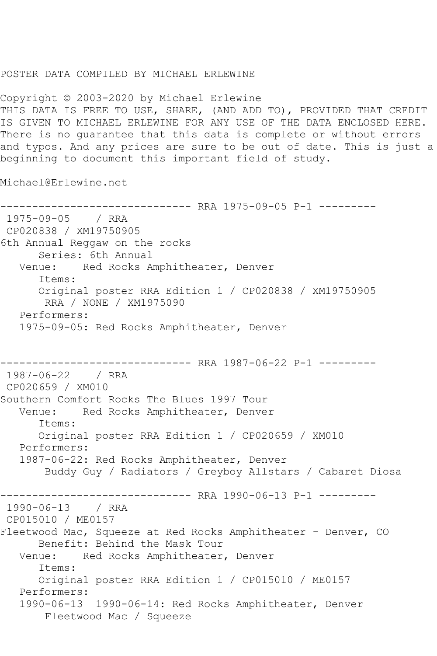## POSTER DATA COMPILED BY MICHAEL ERLEWINE

Copyright © 2003-2020 by Michael Erlewine THIS DATA IS FREE TO USE, SHARE, (AND ADD TO), PROVIDED THAT CREDIT IS GIVEN TO MICHAEL ERLEWINE FOR ANY USE OF THE DATA ENCLOSED HERE. There is no guarantee that this data is complete or without errors and typos. And any prices are sure to be out of date. This is just a beginning to document this important field of study.

Michael@Erlewine.net

------------------------------ RRA 1975-09-05 P-1 --------- 1975-09-05 / RRA CP020838 / XM19750905 6th Annual Reggaw on the rocks Series: 6th Annual Venue: Red Rocks Amphitheater, Denver Items: Original poster RRA Edition 1 / CP020838 / XM19750905 RRA / NONE / XM1975090 Performers: 1975-09-05: Red Rocks Amphitheater, Denver ---------- RRA 1987-06-22 P-1 ---------1987-06-22 / RRA CP020659 / XM010 Southern Comfort Rocks The Blues 1997 Tour Venue: Red Rocks Amphitheater, Denver Items: Original poster RRA Edition 1 / CP020659 / XM010 Performers: 1987-06-22: Red Rocks Amphitheater, Denver Buddy Guy / Radiators / Greyboy Allstars / Cabaret Diosa ------------------------------ RRA 1990-06-13 P-1 --------- 1990-06-13 / RRA CP015010 / ME0157 Fleetwood Mac, Squeeze at Red Rocks Amphitheater - Denver, CO Benefit: Behind the Mask Tour<br>Venue: Red Rocks Amphitheater Red Rocks Amphitheater, Denver Items: Original poster RRA Edition 1 / CP015010 / ME0157 Performers: 1990-06-13 1990-06-14: Red Rocks Amphitheater, Denver Fleetwood Mac / Squeeze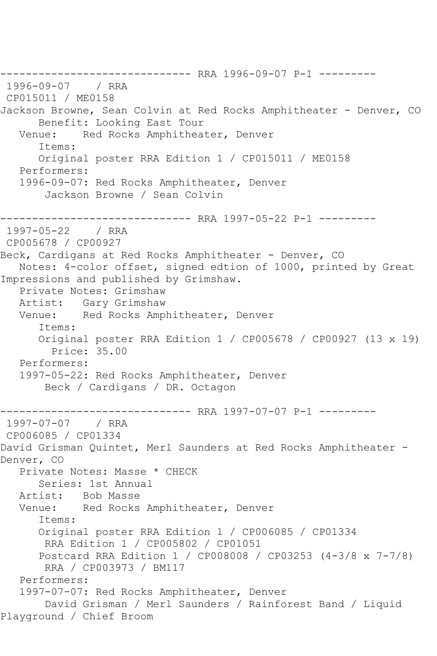-------------------------------- RRA 1996-09-07 P-1 ---------<br>1996-09-07 / RRA 1996-09-07 CP015011 / ME0158 Jackson Browne, Sean Colvin at Red Rocks Amphitheater - Denver, CO Benefit: Looking East Tour<br>Venue: Red Rocks Amphithea Red Rocks Amphitheater, Denver Items: Original poster RRA Edition 1 / CP015011 / ME0158 Performers: 1996-09-07: Red Rocks Amphitheater, Denver Jackson Browne / Sean Colvin ------------------------------ RRA 1997-05-22 P-1 --------- 1997-05-22 / RRA CP005678 / CP00927 Beck, Cardigans at Red Rocks Amphitheater - Denver, CO Notes: 4-color offset, signed edtion of 1000, printed by Great Impressions and published by Grimshaw. Private Notes: Grimshaw Artist: Gary Grimshaw Venue: Red Rocks Amphitheater, Denver Items: Original poster RRA Edition 1 / CP005678 / CP00927 (13 x 19) Price: 35.00 Performers: 1997-05-22: Red Rocks Amphitheater, Denver Beck / Cardigans / DR. Octagon ------------------------------ RRA 1997-07-07 P-1 --------- 1997-07-07 / RRA CP006085 / CP01334 David Grisman Quintet, Merl Saunders at Red Rocks Amphitheater - Denver, CO Private Notes: Masse \* CHECK Series: 1st Annual Artist: Bob Masse Venue: Red Rocks Amphitheater, Denver Items: Original poster RRA Edition 1 / CP006085 / CP01334 RRA Edition 1 / CP005802 / CP01051 Postcard RRA Edition 1 / CP008008 / CP03253 (4-3/8 x 7-7/8) RRA / CP003973 / BM117 Performers: 1997-07-07: Red Rocks Amphitheater, Denver David Grisman / Merl Saunders / Rainforest Band / Liquid Playground / Chief Broom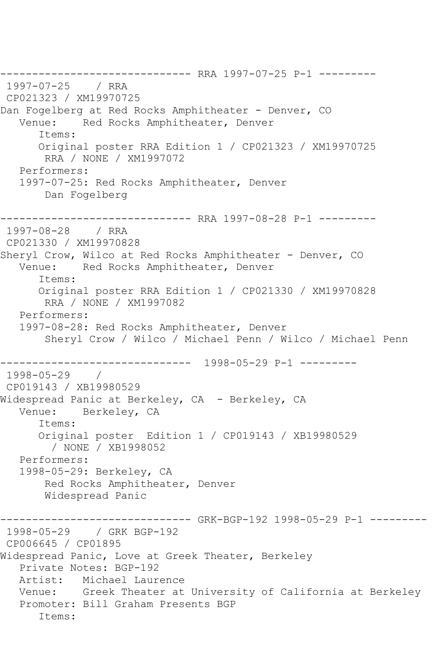------------------------------ RRA 1997-07-25 P-1 --------- 1997-07-25 / RRA CP021323 / XM19970725 Dan Fogelberg at Red Rocks Amphitheater - Denver, CO<br>Venue: Red Rocks Amphitheater, Denver Red Rocks Amphitheater, Denver Items: Original poster RRA Edition 1 / CP021323 / XM19970725 RRA / NONE / XM1997072 Performers: 1997-07-25: Red Rocks Amphitheater, Denver Dan Fogelberg ------------------------------ RRA 1997-08-28 P-1 --------- 1997-08-28 / RRA CP021330 / XM19970828 Sheryl Crow, Wilco at Red Rocks Amphitheater - Denver, CO Venue: Red Rocks Amphitheater, Denver Items: Original poster RRA Edition 1 / CP021330 / XM19970828 RRA / NONE / XM1997082 Performers: 1997-08-28: Red Rocks Amphitheater, Denver Sheryl Crow / Wilco / Michael Penn / Wilco / Michael Penn ------------------------------ 1998-05-29 P-1 --------- 1998-05-29 / CP019143 / XB19980529 Widespread Panic at Berkeley, CA - Berkeley, CA Venue: Berkeley, CA Items: Original poster Edition 1 / CP019143 / XB19980529 / NONE / XB1998052 Performers: 1998-05-29: Berkeley, CA Red Rocks Amphitheater, Denver Widespread Panic ------------------------------ GRK-BGP-192 1998-05-29 P-1 --------- 1998-05-29 / GRK BGP-192 CP006645 / CP01895 Widespread Panic, Love at Greek Theater, Berkeley Private Notes: BGP-192 Artist: Michael Laurence Venue: Greek Theater at University of California at Berkeley Promoter: Bill Graham Presents BGP Items: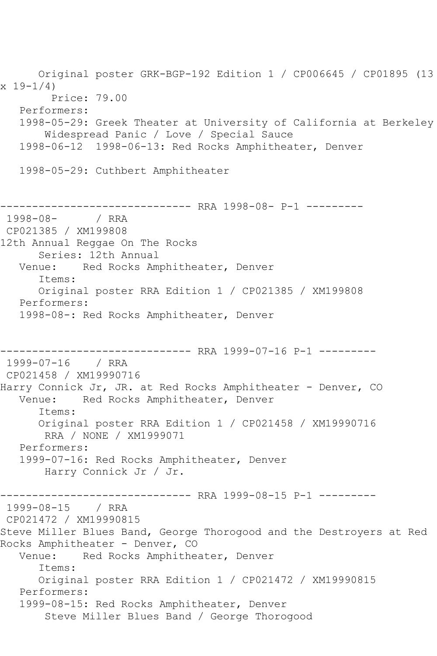Original poster GRK-BGP-192 Edition 1 / CP006645 / CP01895 (13  $x 19 - 1/4$  Price: 79.00 Performers: 1998-05-29: Greek Theater at University of California at Berkeley Widespread Panic / Love / Special Sauce 1998-06-12 1998-06-13: Red Rocks Amphitheater, Denver 1998-05-29: Cuthbert Amphitheater ---------------------- RRA 1998-08- P-1 ----------<br>/ RRA  $1998 - 08 -$ CP021385 / XM199808 12th Annual Reggae On The Rocks Series: 12th Annual Venue: Red Rocks Amphitheater, Denver Items: Original poster RRA Edition 1 / CP021385 / XM199808 Performers: 1998-08-: Red Rocks Amphitheater, Denver ------------------------------ RRA 1999-07-16 P-1 --------- 1999-07-16 / RRA CP021458 / XM19990716 Harry Connick Jr, JR. at Red Rocks Amphitheater - Denver, CO Venue: Red Rocks Amphitheater, Denver Items: Original poster RRA Edition 1 / CP021458 / XM19990716 RRA / NONE / XM1999071 Performers: 1999-07-16: Red Rocks Amphitheater, Denver Harry Connick Jr / Jr. ------------------------------ RRA 1999-08-15 P-1 --------- 1999-08-15 / RRA CP021472 / XM19990815 Steve Miller Blues Band, George Thorogood and the Destroyers at Red Rocks Amphitheater - Denver, CO<br>Venue: Red Rocks Amphithe Red Rocks Amphitheater, Denver Items: Original poster RRA Edition 1 / CP021472 / XM19990815 Performers: 1999-08-15: Red Rocks Amphitheater, Denver Steve Miller Blues Band / George Thorogood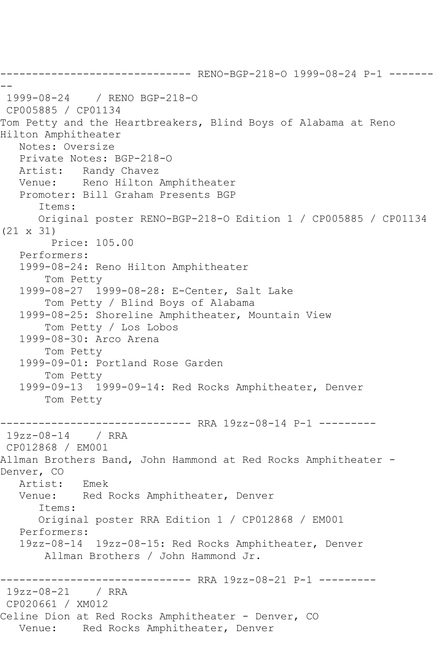------------------------------ RENO-BGP-218-O 1999-08-24 P-1 ------- -- 1999-08-24 / RENO BGP-218-O CP005885 / CP01134 Tom Petty and the Heartbreakers, Blind Boys of Alabama at Reno Hilton Amphitheater Notes: Oversize Private Notes: BGP-218-O Artist: Randy Chavez Venue: Reno Hilton Amphitheater Promoter: Bill Graham Presents BGP Items: Original poster RENO-BGP-218-O Edition 1 / CP005885 / CP01134 (21 x 31) Price: 105.00 Performers: 1999-08-24: Reno Hilton Amphitheater Tom Petty 1999-08-27 1999-08-28: E-Center, Salt Lake Tom Petty / Blind Boys of Alabama 1999-08-25: Shoreline Amphitheater, Mountain View Tom Petty / Los Lobos 1999-08-30: Arco Arena Tom Petty 1999-09-01: Portland Rose Garden Tom Petty 1999-09-13 1999-09-14: Red Rocks Amphitheater, Denver Tom Petty ------------------------------ RRA 19zz-08-14 P-1 --------- 19zz-08-14 / RRA CP012868 / EM001 Allman Brothers Band, John Hammond at Red Rocks Amphitheater - Denver, CO Artist: Emek Venue: Red Rocks Amphitheater, Denver Items: Original poster RRA Edition 1 / CP012868 / EM001 Performers: 19zz-08-14 19zz-08-15: Red Rocks Amphitheater, Denver Allman Brothers / John Hammond Jr. ------------------------------ RRA 19zz-08-21 P-1 --------- 19zz-08-21 / RRA CP020661 / XM012 Celine Dion at Red Rocks Amphitheater - Denver, CO Venue: Red Rocks Amphitheater, Denver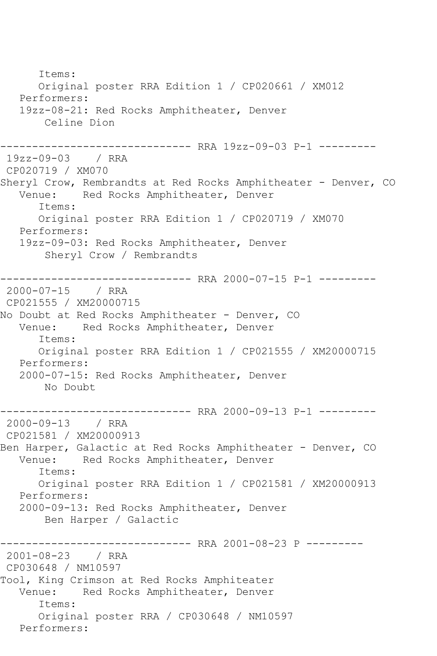Items: Original poster RRA Edition 1 / CP020661 / XM012 Performers: 19zz-08-21: Red Rocks Amphitheater, Denver Celine Dion ------------------------------ RRA 19zz-09-03 P-1 --------- 19zz-09-03 / RRA CP020719 / XM070 Sheryl Crow, Rembrandts at Red Rocks Amphitheater - Denver, CO Venue: Red Rocks Amphitheater, Denver Red Rocks Amphitheater, Denver Items: Original poster RRA Edition 1 / CP020719 / XM070 Performers: 19zz-09-03: Red Rocks Amphitheater, Denver Sheryl Crow / Rembrandts ------------------------------ RRA 2000-07-15 P-1 --------- 2000-07-15 / RRA CP021555 / XM20000715 No Doubt at Red Rocks Amphitheater - Denver, CO Venue: Red Rocks Amphitheater, Denver Items: Original poster RRA Edition 1 / CP021555 / XM20000715 Performers: 2000-07-15: Red Rocks Amphitheater, Denver No Doubt ------------------------------ RRA 2000-09-13 P-1 --------- 2000-09-13 / RRA CP021581 / XM20000913 Ben Harper, Galactic at Red Rocks Amphitheater - Denver, CO Venue: Red Rocks Amphitheater, Denver Items: Original poster RRA Edition 1 / CP021581 / XM20000913 Performers: 2000-09-13: Red Rocks Amphitheater, Denver Ben Harper / Galactic ------------------------------- RRA 2001-08-23 P ---------<br>2001-08-23 / RRA  $2001 - 08 - 23$ CP030648 / NM10597 Tool, King Crimson at Red Rocks Amphiteater Venue: Red Rocks Amphitheater, Denver Items: Original poster RRA / CP030648 / NM10597 Performers: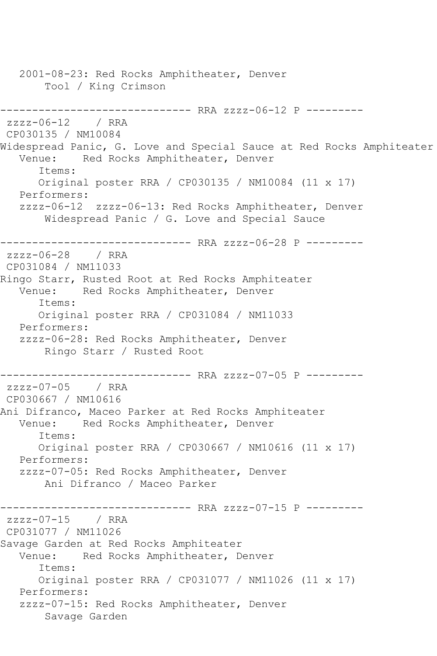2001-08-23: Red Rocks Amphitheater, Denver Tool / King Crimson ------------------------------ RRA zzzz-06-12 P -------- zzzz-06-12 / RRA CP030135 / NM10084 Widespread Panic, G. Love and Special Sauce at Red Rocks Amphiteater<br>Venue: Red Rocks Amphitheater, Denver Red Rocks Amphitheater, Denver Items: Original poster RRA / CP030135 / NM10084 (11 x 17) Performers: zzzz-06-12 zzzz-06-13: Red Rocks Amphitheater, Denver Widespread Panic / G. Love and Special Sauce ------------------------------ RRA zzzz-06-28 P -------- zzzz-06-28 / RRA CP031084 / NM11033 Ringo Starr, Rusted Root at Red Rocks Amphiteater Venue: Red Rocks Amphitheater, Denver Items: Original poster RRA / CP031084 / NM11033 Performers: zzzz-06-28: Red Rocks Amphitheater, Denver Ringo Starr / Rusted Root ------------------------------ RRA zzzz-07-05 P -------- zzzz-07-05 / RRA CP030667 / NM10616 Ani Difranco, Maceo Parker at Red Rocks Amphiteater Venue: Red Rocks Amphitheater, Denver Items: Original poster RRA / CP030667 / NM10616 (11 x 17) Performers: zzzz-07-05: Red Rocks Amphitheater, Denver Ani Difranco / Maceo Parker ------------------------------ RRA zzzz-07-15 P -------- zzzz-07-15 / RRA CP031077 / NM11026 Savage Garden at Red Rocks Amphiteater Venue: Red Rocks Amphitheater, Denver Items: Original poster RRA / CP031077 / NM11026 (11 x 17) Performers: zzzz-07-15: Red Rocks Amphitheater, Denver Savage Garden